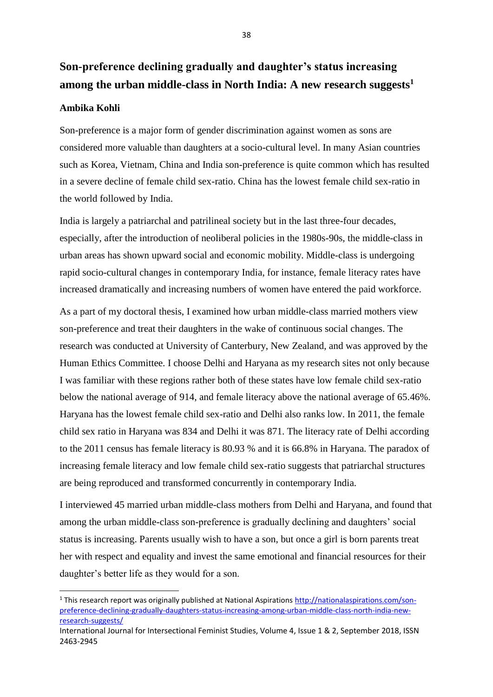## **Son-preference declining gradually and daughter's status increasing among the urban middle-class in North India: A new research suggests<sup>1</sup>**

## **Ambika Kohli**

-

Son-preference is a major form of gender discrimination against women as sons are considered more valuable than daughters at a socio-cultural level. In many Asian countries such as Korea, Vietnam, China and India son-preference is quite common which has resulted in a severe decline of female child sex-ratio. China has the lowest female child sex-ratio in the world followed by India.

India is largely a patriarchal and patrilineal society but in the last three-four decades, especially, after the introduction of neoliberal policies in the 1980s-90s, the middle-class in urban areas has shown upward social and economic mobility. Middle-class is undergoing rapid socio-cultural changes in contemporary India, for instance, female literacy rates have increased dramatically and increasing numbers of women have entered the paid workforce.

As a part of my doctoral thesis, I examined how urban middle-class married mothers view son-preference and treat their daughters in the wake of continuous social changes. The research was conducted at University of Canterbury, New Zealand, and was approved by the Human Ethics Committee. I choose Delhi and Haryana as my research sites not only because I was familiar with these regions rather both of these states have low female child sex-ratio below the national average of 914, and female literacy above the national average of 65.46%. Haryana has the lowest female child sex-ratio and Delhi also ranks low. In 2011, the female child sex ratio in Haryana was 834 and Delhi it was 871. The literacy rate of Delhi according to the 2011 census has female literacy is 80.93 % and it is 66.8% in Haryana. The paradox of increasing female literacy and low female child sex-ratio suggests that patriarchal structures are being reproduced and transformed concurrently in contemporary India.

I interviewed 45 married urban middle-class mothers from Delhi and Haryana, and found that among the urban middle-class son-preference is gradually declining and daughters' social status is increasing. Parents usually wish to have a son, but once a girl is born parents treat her with respect and equality and invest the same emotional and financial resources for their daughter's better life as they would for a son.

<sup>1</sup> This research report was originally published at National Aspirations [http://nationalaspirations.com/son](http://nationalaspirations.com/son-preference-declining-gradually-daughters-status-increasing-among-urban-middle-class-north-india-new-research-suggests/)[preference-declining-gradually-daughters-status-increasing-among-urban-middle-class-north-india-new](http://nationalaspirations.com/son-preference-declining-gradually-daughters-status-increasing-among-urban-middle-class-north-india-new-research-suggests/)[research-suggests/](http://nationalaspirations.com/son-preference-declining-gradually-daughters-status-increasing-among-urban-middle-class-north-india-new-research-suggests/)

International Journal for Intersectional Feminist Studies, Volume 4, Issue 1 & 2, September 2018, ISSN 2463-2945